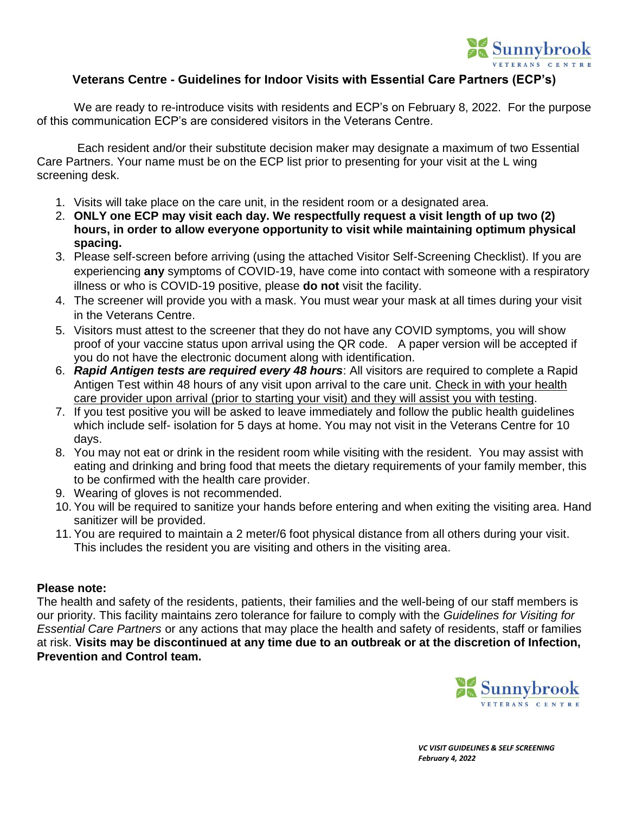

### **Veterans Centre - Guidelines for Indoor Visits with Essential Care Partners (ECP's)**

We are ready to re-introduce visits with residents and ECP's on February 8, 2022. For the purpose of this communication ECP's are considered visitors in the Veterans Centre.

Each resident and/or their substitute decision maker may designate a maximum of two Essential Care Partners. Your name must be on the ECP list prior to presenting for your visit at the L wing screening desk.

- 1. Visits will take place on the care unit, in the resident room or a designated area.
- 2. **ONLY one ECP may visit each day. We respectfully request a visit length of up two (2) hours, in order to allow everyone opportunity to visit while maintaining optimum physical spacing.**
- 3. Please self-screen before arriving (using the attached Visitor Self-Screening Checklist). If you are experiencing **any** symptoms of COVID-19, have come into contact with someone with a respiratory illness or who is COVID-19 positive, please **do not** visit the facility.
- 4. The screener will provide you with a mask. You must wear your mask at all times during your visit in the Veterans Centre.
- 5. Visitors must attest to the screener that they do not have any COVID symptoms, you will show proof of your vaccine status upon arrival using the QR code. A paper version will be accepted if you do not have the electronic document along with identification.
- 6. *Rapid Antigen tests are required every 48 hours*: All visitors are required to complete a Rapid Antigen Test within 48 hours of any visit upon arrival to the care unit. Check in with your health care provider upon arrival (prior to starting your visit) and they will assist you with testing.
- 7. If you test positive you will be asked to leave immediately and follow the public health guidelines which include self- isolation for 5 days at home. You may not visit in the Veterans Centre for 10 days.
- 8. You may not eat or drink in the resident room while visiting with the resident. You may assist with eating and drinking and bring food that meets the dietary requirements of your family member, this to be confirmed with the health care provider.
- 9. Wearing of gloves is not recommended.
- 10. You will be required to sanitize your hands before entering and when exiting the visiting area. Hand sanitizer will be provided.
- 11. You are required to maintain a 2 meter/6 foot physical distance from all others during your visit. This includes the resident you are visiting and others in the visiting area.

#### **Please note:**

The health and safety of the residents, patients, their families and the well-being of our staff members is our priority. This facility maintains zero tolerance for failure to comply with the *Guidelines for Visiting for Essential Care Partners* or any actions that may place the health and safety of residents, staff or families at risk. **Visits may be discontinued at any time due to an outbreak or at the discretion of Infection, Prevention and Control team.**



 *VC VISIT GUIDELINES & SELF SCREENING February 4, 2022*